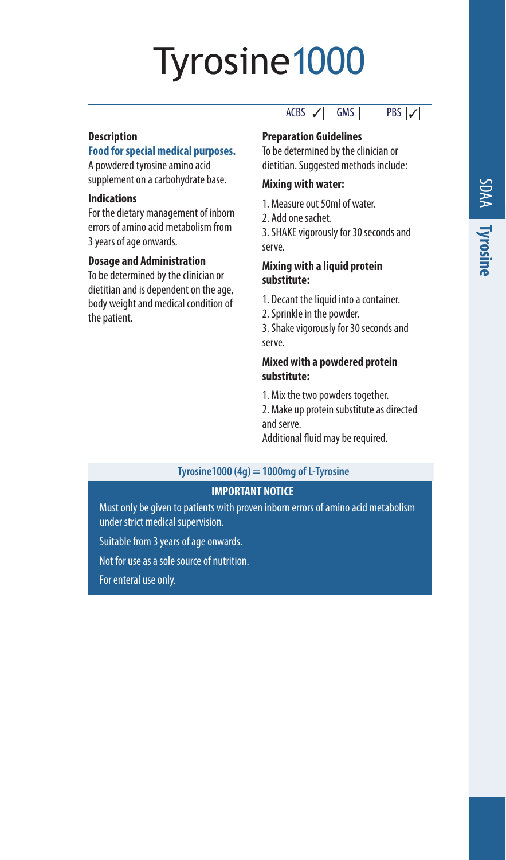# Tyrosine1000

#### **Description**

### **Food for special medical purposes.**

A powdered tyrosine amino acid supplement on a carbohydrate base.

#### **Indications**

For the dietary management of inborn errors of amino acid metabolism from 3 years of age onwards.

#### **Dosage and Administration**

To be determined by the clinician or dietitian and is dependent on the age, body weight and medical condition of the patient.

#### $ACBS$   $\boxed{2}$  GMS PRS 7

**Preparation Guidelines** 

To be determined by the clinician or dietitian. Suggested methods include:

# **Mixing with water:**

1. Measure out 50ml of water.

2. Add one sachet.

3. SHAKE vigorously for 30 seconds and serve.

#### **Mixing with a liquid protein substitute:**

- 1. Decant the liquid into a container.
- 2. Sprinkle in the powder.

3. Shake vigorously for 30 seconds and serve.

#### **Mixed with a powdered protein substitute:**

1. Mix the two powders together.

2. Make up protein substitute as directed and serve.

Additional fluid may be required.

#### **Tyrosine1000 (4g) = 1000mg of L-Tyrosine**

### **IMPORTANT NOTICE**

Must only be given to patients with proven inborn errors of amino acid metabolism under strict medical supervision.

Suitable from 3 years of age onwards.

Not for use as a sole source of nutrition.

For enteral use only.